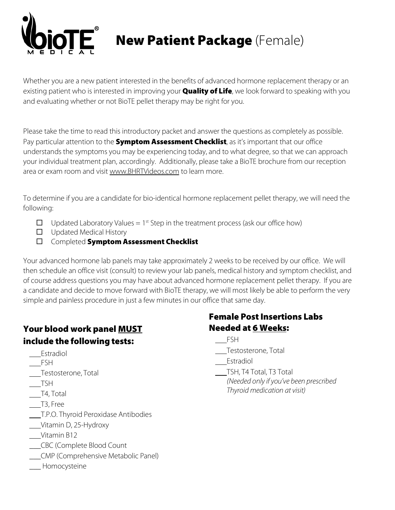

New Patient Package (Female)

Whether you are a new patient interested in the benefits of advanced hormone replacement therapy or an existing patient who is interested in improving your **Quality of Life**, we look forward to speaking with you and evaluating whether or not BioTE pellet therapy may be right for you.

Please take the time to read this introductory packet and answer the questions as completely as possible. Pay particular attention to the **Symptom Assessment Checklist**, as it's important that our office understands the symptoms you may be experiencing today, and to what degree, so that we can approach your individual treatment plan, accordingly. Additionally, please take a BioTE brochure from our reception area or exam room and visit [www.BHRTVideos.com](http://www.bhrtvideos.com/) to learn more.

To determine if you are a candidate for bio-identical hormone replacement pellet therapy, we will need the following:

- $\Box$  Updated Laboratory Values = 1<sup>st</sup> Step in the treatment process (ask our office how)
- $\Box$  Updated Medical History
- **Completed Symptom Assessment Checklist**

Your advanced hormone lab panels may take approximately 2 weeks to be received by our office. We will then schedule an office visit (consult) to review your lab panels, medical history and symptom checklist, and of course address questions you may have about advanced hormone replacement pellet therapy. If you are a candidate and decide to move forward with BioTE therapy, we will most likely be able to perform the very simple and painless procedure in just a few minutes in our office that same day.

#### Your blood work panel MUST include the following tests:

- Estradiol
- FSH
- Testosterone, Total
- TSH
- T4, Total
- T3, Free
- T.P.O. Thyroid Peroxidase Antibodies
- Vitamin D, 25-Hydroxy
- Vitamin B12
- \_\_\_CBC (Complete Blood Count
- \_\_\_CMP (Comprehensive Metabolic Panel)
- \_\_\_ Homocysteine

#### Female Post Insertions Labs Needed at 6 Weeks:

- FSH
- Testosterone, Total
- Estradiol
- TSH, T4 Total, T3 Total *(Needed only if you've been prescribed Thyroid medication at visit)*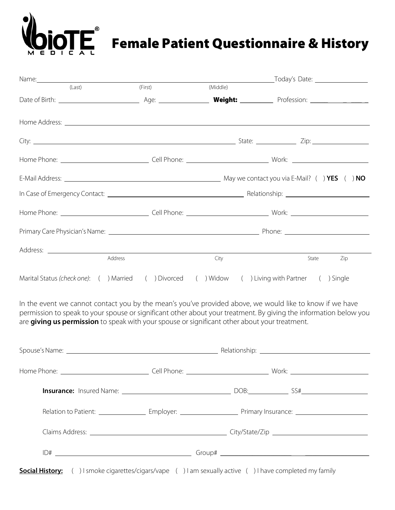## Female Patient Questionnaire & History

| Name: Name:                                                                                                                                                                                                                          |         |          |                                                                                                                                                                                                                               |
|--------------------------------------------------------------------------------------------------------------------------------------------------------------------------------------------------------------------------------------|---------|----------|-------------------------------------------------------------------------------------------------------------------------------------------------------------------------------------------------------------------------------|
| (Last)                                                                                                                                                                                                                               | (First) | (Middle) |                                                                                                                                                                                                                               |
|                                                                                                                                                                                                                                      |         |          |                                                                                                                                                                                                                               |
| Home Address: <u>The Community of the Community of the Community of the Community of the Community of the Community of the Community of the Community of the Community of the Community of the Community of the Community of the</u> |         |          |                                                                                                                                                                                                                               |
|                                                                                                                                                                                                                                      |         |          |                                                                                                                                                                                                                               |
|                                                                                                                                                                                                                                      |         |          |                                                                                                                                                                                                                               |
|                                                                                                                                                                                                                                      |         |          |                                                                                                                                                                                                                               |
|                                                                                                                                                                                                                                      |         |          |                                                                                                                                                                                                                               |
|                                                                                                                                                                                                                                      |         |          |                                                                                                                                                                                                                               |
|                                                                                                                                                                                                                                      |         |          | Primary Care Physician's Name: 1988. [19] Phone: 2010 Phone: 2010 Phone: 2010 Phone: 2010 Phone: 2010 Phone: 2010 Phone: 2010 Phone: 2010 Phone: 2010 Phone: 2010 Phone: 2010 Phone: 2010 Phone: 2010 Phone: 2010 Phone: 2010 |
|                                                                                                                                                                                                                                      |         |          |                                                                                                                                                                                                                               |
| Address                                                                                                                                                                                                                              |         | City     | State<br>Zip                                                                                                                                                                                                                  |
| Marital Status (check one): ( ) Married ( ) Divorced ( ) Widow ( ) Living with Partner                                                                                                                                               |         |          | ( ) Single                                                                                                                                                                                                                    |

In the event we cannot contact you by the mean's you've provided above, we would like to know if we have permission to speak to your spouse or significant other about your treatment. By giving the information below you are **giving us permission** to speak with your spouse or significant other about your treatment.

|  | Relation to Patient: ________________________Employer: ________________________Primary Insurance: __________________ |  |
|--|----------------------------------------------------------------------------------------------------------------------|--|
|  |                                                                                                                      |  |
|  |                                                                                                                      |  |
|  | <b>Social History:</b> ( ) I smoke cigarettes/cigars/vape ( ) I am sexually active ( ) I have completed my family    |  |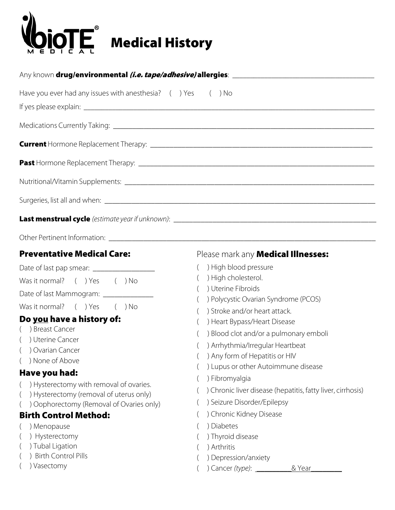

| Have you ever had any issues with anesthesia? $($ ) Yes $($ ) No                                                                                                                                                                                                                                                                                                                                                                                             |                                                                                                                                                                                                                                                                                                                                                                                                                                                                                                                                                                                |
|--------------------------------------------------------------------------------------------------------------------------------------------------------------------------------------------------------------------------------------------------------------------------------------------------------------------------------------------------------------------------------------------------------------------------------------------------------------|--------------------------------------------------------------------------------------------------------------------------------------------------------------------------------------------------------------------------------------------------------------------------------------------------------------------------------------------------------------------------------------------------------------------------------------------------------------------------------------------------------------------------------------------------------------------------------|
|                                                                                                                                                                                                                                                                                                                                                                                                                                                              |                                                                                                                                                                                                                                                                                                                                                                                                                                                                                                                                                                                |
|                                                                                                                                                                                                                                                                                                                                                                                                                                                              |                                                                                                                                                                                                                                                                                                                                                                                                                                                                                                                                                                                |
|                                                                                                                                                                                                                                                                                                                                                                                                                                                              |                                                                                                                                                                                                                                                                                                                                                                                                                                                                                                                                                                                |
|                                                                                                                                                                                                                                                                                                                                                                                                                                                              |                                                                                                                                                                                                                                                                                                                                                                                                                                                                                                                                                                                |
|                                                                                                                                                                                                                                                                                                                                                                                                                                                              |                                                                                                                                                                                                                                                                                                                                                                                                                                                                                                                                                                                |
|                                                                                                                                                                                                                                                                                                                                                                                                                                                              |                                                                                                                                                                                                                                                                                                                                                                                                                                                                                                                                                                                |
| Other Pertinent Information: Law and the contract of the contract of the contract of the contract of the contract of the contract of the contract of the contract of the contract of the contract of the contract of the contr                                                                                                                                                                                                                               |                                                                                                                                                                                                                                                                                                                                                                                                                                                                                                                                                                                |
| Was it normal? () Yes () No<br>Date of last Mammogram: ______________<br>Was it normal? () Yes () No<br>Do you have a history of:<br>( ) Breast Cancer<br>() Uterine Cancer<br>( ) Ovarian Cancer<br>) None of Above<br>Have you had:<br>) Hysterectomy with removal of ovaries.<br>) Hysterectomy (removal of uterus only)<br>) Oophorectomy (Removal of Ovaries only)<br><b>Birth Control Method:</b><br>) Menopause<br>) Hysterectomy<br>) Tubal Ligation | Please mark any <b>Medical Illnesses:</b><br>) High blood pressure<br>) High cholesterol.<br>) Uterine Fibroids<br>) Polycystic Ovarian Syndrome (PCOS)<br>) Stroke and/or heart attack.<br>) Heart Bypass/Heart Disease<br>) Blood clot and/or a pulmonary emboli<br>) Arrhythmia/Irregular Heartbeat<br>() Any form of Hepatitis or HIV<br>) Lupus or other Autoimmune disease<br>) Fibromyalgia<br>) Chronic liver disease (hepatitis, fatty liver, cirrhosis)<br>) Seizure Disorder/Epilepsy<br>) Chronic Kidney Disease<br>) Diabetes<br>) Thyroid disease<br>) Arthritis |
| ) Birth Control Pills<br>) Vasectomy                                                                                                                                                                                                                                                                                                                                                                                                                         | ) Depression/anxiety<br>& Year                                                                                                                                                                                                                                                                                                                                                                                                                                                                                                                                                 |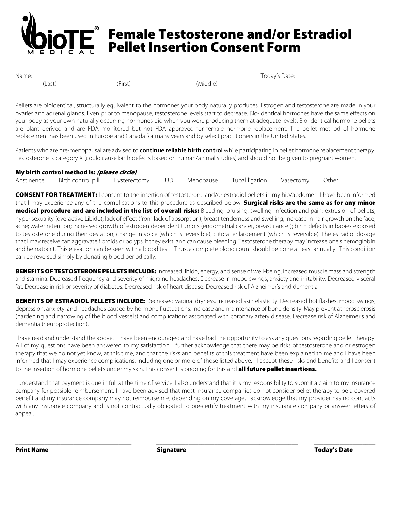## Female Testosterone and/or Estradiol Pellet Insertion Consent Form

(Last) (First) (Middle)

Name: Today's Date:

Pellets are bioidentical, structurally equivalent to the hormones your body naturally produces. Estrogen and testosterone are made in your ovaries and adrenal glands. Even prior to menopause, testosterone levels start to decrease. Bio-identical hormones have the same effects on your body as your own naturally occurring hormones did when you were producing them at adequate levels. Bio-identical hormone pellets are plant derived and are FDA monitored but not FDA approved for female hormone replacement. The pellet method of hormone replacement has been used in Europe and Canada for many years and by select practitioners in the United States.

Patients who are pre-menopausal are advised to **continue reliable birth control** while participating in pellet hormone replacement therapy. Testosterone is category X (could cause birth defects based on human/animal studies) and should not be given to pregnant women.

| My birth control method is: (please circle) |       |           |                |           |       |
|---------------------------------------------|-------|-----------|----------------|-----------|-------|
| Abstinence Birth control pill Hysterectomy  | - IUD | Menopause | Tubal ligation | Vasectomy | Other |

CONSENT FOR TREATMENT: I consent to the insertion of testosterone and/or estradiol pellets in my hip/abdomen. I have been informed that I may experience any of the complications to this procedure as described below. Surgical risks are the same as for any minor medical procedure and are included in the list of overall risks: Bleeding, bruising, swelling, infection and pain; extrusion of pellets; hyper sexuality (overactive Libido); lack of effect (from lack of absorption); breast tenderness and swelling; increase in hair growth on the face; acne; water retention; increased growth of estrogen dependent tumors (endometrial cancer, breast cancer); birth defects in babies exposed to testosterone during their gestation; change in voice (which is reversible); clitoral enlargement (which is reversible). The estradiol dosage that I may receive can aggravate fibroids or polyps, if they exist, and can cause bleeding. Testosterone therapy may increase one's hemoglobin and hematocrit. This elevation can be seen with a blood test. Thus, a complete blood count should be done at least annually. This condition can be reversed simply by donating blood periodically.

BENEFITS OF TESTOSTERONE PELLETS INCLUDE: Increased libido, energy, and sense of well-being. Increased muscle mass and strength and stamina. Decreased frequency and severity of migraine headaches. Decrease in mood swings, anxiety and irritability. Decreased visceral fat. Decrease in risk or severity of diabetes. Decreased risk of heart disease. Decreased risk of Alzheimer's and dementia

BENEFITS OF ESTRADIOL PELLETS INCLUDE: Decreased vaginal dryness. Increased skin elasticity. Decreased hot flashes, mood swings, depression, anxiety, and headaches caused by hormone fluctuations. Increase and maintenance of bone density. May prevent atherosclerosis (hardening and narrowing of the blood vessels) and complications associated with coronary artery disease. Decrease risk of Alzheimer's and dementia (neuroprotection).

I have read and understand the above. I have been encouraged and have had the opportunity to ask any questions regarding pellet therapy. All of my questions have been answered to my satisfaction. I further acknowledge that there may be risks of testosterone and or estrogen therapy that we do not yet know, at this time, and that the risks and benefits of this treatment have been explained to me and I have been informed that I may experience complications, including one or more of those listed above. I accept these risks and benefits and I consent to the insertion of hormone pellets under my skin. This consent is ongoing for this and **all future pellet insertions.** 

I understand that payment is due in full at the time of service. I also understand that it is my responsibility to submit a claim to my insurance company for possible reimbursement. I have been advised that most insurance companies do not consider pellet therapy to be a covered benefit and my insurance company may not reimburse me, depending on my coverage. I acknowledge that my provider has no contracts with any insurance company and is not contractually obligated to pre-certify treatment with my insurance company or answer letters of appeal.

\_\_\_\_\_\_\_\_\_\_\_\_\_\_\_\_\_\_\_\_\_\_\_\_\_\_\_\_\_\_\_\_\_\_\_\_ \_\_\_\_\_\_\_\_\_\_\_\_\_\_\_\_\_\_\_\_\_\_\_\_\_\_\_\_\_\_\_\_\_\_\_\_\_\_\_\_\_\_\_\_ \_\_\_\_\_\_\_\_\_\_\_\_\_\_\_\_\_\_\_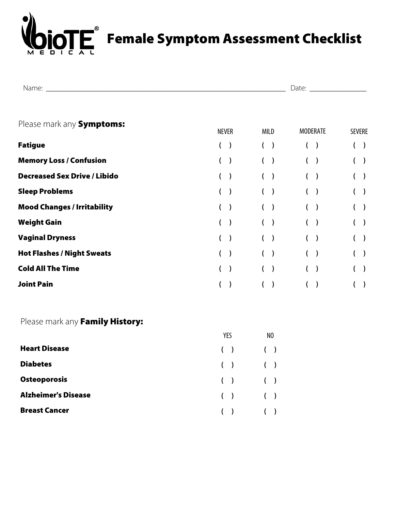

| , ו |  |
|-----|--|
|     |  |

| Please mark any Symptoms:           | <b>NEVER</b>               | MILD           | <b>MODERATE</b>          | <b>SEVERE</b> |
|-------------------------------------|----------------------------|----------------|--------------------------|---------------|
| <b>Fatigue</b>                      | $\mathcal{E}$              | (<br>$\lambda$ | ( )                      | $\big)$       |
| <b>Memory Loss / Confusion</b>      | $\lambda$<br>$\mathcal{L}$ | €              | $\rightarrow$            | $\rightarrow$ |
| <b>Decreased Sex Drive / Libido</b> | $\mathcal{E}$              |                | $\overline{\phantom{a}}$ | $\rightarrow$ |
| <b>Sleep Problems</b>               | $\mathcal{E}$              |                | ( )                      | $($ )         |
| <b>Mood Changes / Irritability</b>  |                            |                | $\rightarrow$            | $\rightarrow$ |
| <b>Weight Gain</b>                  | $\lambda$<br>(             |                | $($ )                    | $\rightarrow$ |
| <b>Vaginal Dryness</b>              | $\mathcal{E}$              |                | $($ )                    | $\rightarrow$ |
| <b>Hot Flashes / Night Sweats</b>   |                            |                | ( )                      | $\rightarrow$ |
| <b>Cold All The Time</b>            | $\mathcal{E}$              |                | ( )                      | $\rightarrow$ |
| <b>Joint Pain</b>                   |                            |                |                          |               |

#### Please mark any Family History:

|                            | YES         | NO |
|----------------------------|-------------|----|
| <b>Heart Disease</b>       | $( )$ $( )$ |    |
| <b>Diabetes</b>            | $( )$ $( )$ |    |
| <b>Osteoporosis</b>        | $( )$ $( )$ |    |
| <b>Alzheimer's Disease</b> | $( )$ $( )$ |    |
| <b>Breast Cancer</b>       | $( )$ $( )$ |    |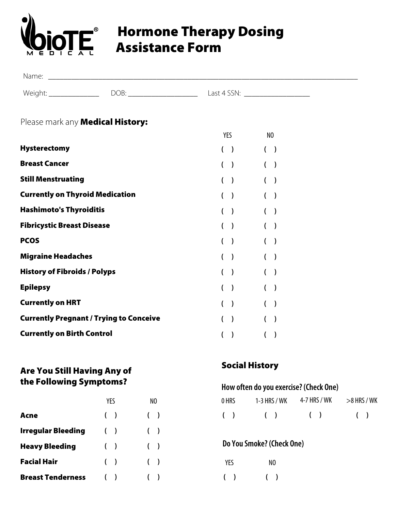

### Hormone Therapy Dosing Assistance Form

| Name:                |      |                           |
|----------------------|------|---------------------------|
| Weiaht<br>س د ۱ کالا | DOB: | $\sqrt{25}$<br>ast 4<br>ີ |

#### Please mark any **Medical History:**

|                                                | YES            | N <sub>0</sub> |
|------------------------------------------------|----------------|----------------|
| <b>Hysterectomy</b>                            | ( )            | $($ )          |
| <b>Breast Cancer</b>                           | $\lambda$<br>( | $\mathcal{E}$  |
| <b>Still Menstruating</b>                      | $\lambda$      | $($ )          |
| <b>Currently on Thyroid Medication</b>         | $\lambda$      |                |
| <b>Hashimoto's Thyroiditis</b>                 | $\lambda$      | $\lambda$      |
| <b>Fibricystic Breast Disease</b>              | $\lambda$      | $\lambda$      |
| <b>PCOS</b>                                    | $\lambda$      |                |
| <b>Migraine Headaches</b>                      | $\lambda$      |                |
| <b>History of Fibroids / Polyps</b>            | $\lambda$      | $\lambda$      |
| <b>Epilepsy</b>                                | $\lambda$      | $($ )          |
| <b>Currently on HRT</b>                        | $\lambda$      | $\lambda$      |
| <b>Currently Pregnant / Trying to Conceive</b> | $\lambda$      |                |
| <b>Currently on Birth Control</b>              | $\mathcal{E}$  |                |

#### Are You Still Having Any of the Following Symptoms?

|                           | YFS   | NO    |
|---------------------------|-------|-------|
| Acne                      | ( )   | $($ ) |
| <b>Irregular Bleeding</b> | $($ ) | $($ ) |
| <b>Heavy Bleeding</b>     | $($ ) | (     |
| <b>Facial Hair</b>        | ( )   | (     |
| <b>Breast Tenderness</b>  |       |       |

#### Social History

#### **How often do you exercise?(Check One)**

| 0 HRS | $1-3$ HRS / WK | 4-7 HRS / WK | $>$ 8 HRS / WK |
|-------|----------------|--------------|----------------|
| ( )   | (              | (            | (              |

#### **Do You Smoke?(Check One)**

| YES | NO |
|-----|----|
|     |    |